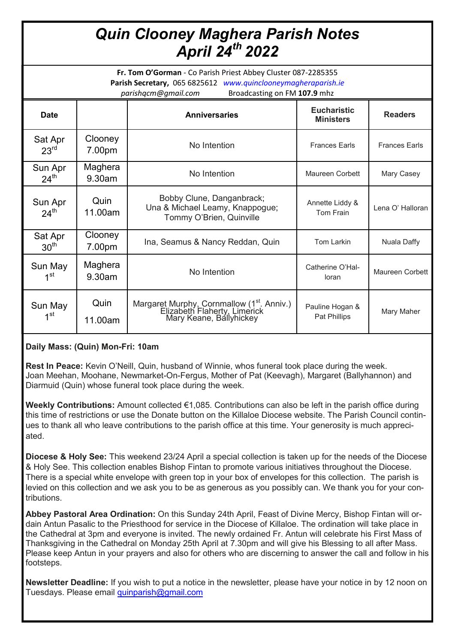## *Quin Clooney Maghera Parish Notes April 24th 2022*

**Fr. Tom O'Gorman** - Co Parish Priest Abbey Cluster 087-2285355 **Parish Secretary,** 065 6825612 *www.quinclooneymagheraparish.ie parishqcm@gmail.com* Broadcasting on FM **107.9** mhz

| <b>Date</b>                 |                   | <b>Anniversaries</b>                                                                                              | <b>Eucharistic</b><br><b>Ministers</b> | <b>Readers</b>       |
|-----------------------------|-------------------|-------------------------------------------------------------------------------------------------------------------|----------------------------------------|----------------------|
| Sat Apr<br>23 <sup>rd</sup> | Clooney<br>7.00pm | No Intention                                                                                                      | <b>Frances Earls</b>                   | <b>Frances Earls</b> |
| Sun Apr<br>$24^{\text{th}}$ | Maghera<br>9.30am | No Intention                                                                                                      | Maureen Corbett                        | Mary Casey           |
| Sun Apr<br>$24^{\text{th}}$ | Quin<br>11.00am   | Bobby Clune, Danganbrack;<br>Una & Michael Leamy, Knappogue;<br>Tommy O'Brien, Quinville                          | Annette Liddy &<br>Tom Frain           | Lena O' Halloran     |
| Sat Apr<br>30 <sup>th</sup> | Clooney<br>7.00pm | Ina, Seamus & Nancy Reddan, Quin                                                                                  | Tom Larkin                             | Nuala Daffy          |
| Sun May<br>$1^{\rm st}$     | Maghera<br>9.30am | No Intention                                                                                                      | Catherine O'Hal-<br>loran              | Maureen Corbett      |
| Sun May<br>$1^{\rm st}$     | Quin<br>11.00am   | Margaret Murphy, Cornmallow (1 <sup>st</sup> . Anniv.)<br>Elizabeth Flaherty, Limerick<br>Mary Keane, Ballyhickey | Pauline Hogan &<br>Pat Phillips        | Mary Maher           |

## **Daily Mass: (Quin) Mon-Fri: 10am**

**Rest In Peace:** Kevin O'Neill, Quin, husband of Winnie, whos funeral took place during the week. Joan Meehan, Moohane, Newmarket-On-Fergus, Mother of Pat (Keevagh), Margaret (Ballyhannon) and Diarmuid (Quin) whose funeral took place during the week.

**Weekly Contributions:** Amount collected €1,085. Contributions can also be left in the parish office during this time of restrictions or use the Donate button on the Killaloe Diocese website. The Parish Council continues to thank all who leave contributions to the parish office at this time. Your generosity is much appreciated.

**Diocese & Holy See:** This weekend 23/24 April a special collection is taken up for the needs of the Diocese & Holy See. This collection enables Bishop Fintan to promote various initiatives throughout the Diocese. There is a special white envelope with green top in your box of envelopes for this collection. The parish is levied on this collection and we ask you to be as generous as you possibly can. We thank you for your contributions.

**Abbey Pastoral Area Ordination:** On this Sunday 24th April, Feast of Divine Mercy, Bishop Fintan will ordain Antun Pasalic to the Priesthood for service in the Diocese of Killaloe. The ordination will take place in the Cathedral at 3pm and everyone is invited. The newly ordained Fr. Antun will celebrate his First Mass of Thanksgiving in the Cathedral on Monday 25th April at 7.30pm and will give his Blessing to all after Mass. Please keep Antun in your prayers and also for others who are discerning to answer the call and follow in his footsteps.

**Newsletter Deadline:** If you wish to put a notice in the newsletter, please have your notice in by 12 noon on Tuesdays. Please email **[quinparish@gmail.com](mailto:quinparish@gmail.com)**